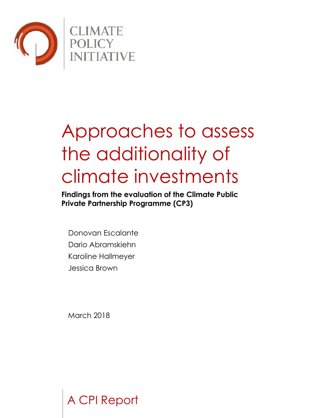

# Approaches to assess the additionality of climate investments

**Findings from the evaluation of the Climate Public Private Partnership Programme (CP3)**

Donovan Escalante Dario Abramskiehn Karoline Hallmeyer Jessica Brown

March 2018

A CPI Report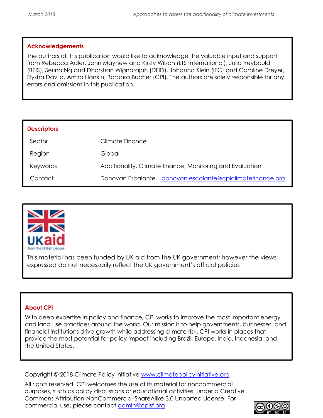#### **Acknowledgements**

The authors of this publication would like to acknowledge the valuable input and support from Rebecca Adler, John Mayhew and Kirsty Wilson (LTS International), Julia Reybould (BEIS), Serina Ng and Dharshan Wignarajah (DFID), Johanna Klein (IFC) and Caroline Dreyer, Elysha Davila, Amira Hankin, Barbara Bucher (CPI). The authors are solely responsible for any errors and omissions in this publication.

| <b>Descriptors</b> |                                                           |
|--------------------|-----------------------------------------------------------|
| Sector             | Climate Finance                                           |
| Region             | Global                                                    |
| Keywords           | Additionality, Climate finance, Monitoring and Evaluation |
| Contact            | Donovan Escalante donovan.escalante@cpiclimatefinance.org |



This material has been funded by UK aid from the UK government; however the views expressed do not necessarily reflect the UK government's official policies

#### **About CPI**

With deep expertise in policy and finance, CPI works to improve the most important energy and land use practices around the world. Our mission is to help governments, businesses, and financial institutions drive growth while addressing climate risk. CPI works in places that provide the most potential for policy impact including Brazil, Europe, India, Indonesia, and the United States.

Copyright © 2018 Climate Policy Initiative [www.climatepolicyinitiative.org](http://www.climatepolicyinitiative.org/)

All rights reserved. CPI welcomes the use of its material for noncommercial purposes, such as policy discussions or educational activities, under a Creative Commons Attribution-NonCommercial-ShareAlike 3.0 Unported License. For commercial use, please contact *admin@cpisf.org* 

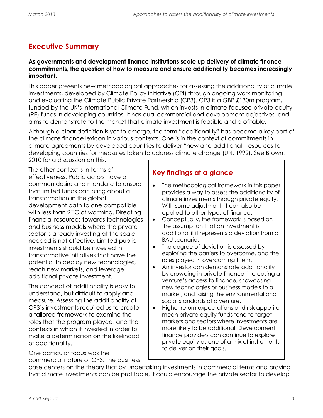# <span id="page-2-0"></span>**Executive Summary**

#### **As governments and development finance institutions scale up delivery of climate finance commitments, the question of how to measure and ensure additionality becomes increasingly important.**

This paper presents new methodological approaches for assessing the additionality of climate investments, developed by Climate Policy initiative (CPI) through ongoing work monitoring and evaluating the Climate Public Private Partnership (CP3). CP3 is a GBP £130m program, funded by the UK's International Climate Fund, which invests in climate-focused private equity (PE) funds in developing countries. It has dual commercial and development objectives, and aims to demonstrate to the market that climate investment is feasible and profitable.

Although a clear definition is yet to emerge, the term "additionality" has become a key part of the climate finance lexicon in various contexts. One is in the context of commitments in climate agreements by developed countries to deliver "new and additional" resources to developing countries for measures taken to address climate change (UN, 1992). See Brown,

2010 for a discussion on this.

The other context is in terms of effectiveness. Public actors have a common desire and mandate to ensure that limited funds can bring about a transformation in the global development path to one compatible with less than 2° C of warming. Directing financial resources towards technologies and business models where the private sector is already investing at the scale needed is not effective. Limited public investments should be invested in transformative initiatives that have the potential to deploy new technologies, reach new markets, and leverage additional private investment.

The concept of additionality is easy to understand, but difficult to apply and measure. Assessing the additionality of CP3's investments required us to create a tailored framework to examine the roles that the program played, and the contexts in which it invested in order to make a determination on the likelihood of additionality.

One particular focus was the commercial nature of CP3. The business

## **Key findings at a glance**

- The methodological framework in this paper provides a way to assess the additionality of climate investments through private equity. With some adjustment, it can also be applied to other types of finance.
- Conceptually, the framework is based on the assumption that an investment is additional if it represents a deviation from a BAU scenario.
- The degree of deviation is assessed by exploring the barriers to overcome, and the roles played in overcoming them.
- An investor can demonstrate additionality by crowding in private finance, increasing a venture's access to finance, showcasing new technologies or business models to a market, and raising the environmental and social standards of a venture.
- Higher return expectations and risk appetite mean private equity funds tend to target markets and sectors where investments are more likely to be additional. Development finance providers can continue to explore private equity as one of a mix of instruments to deliver on their goals.

case centers on the theory that by undertaking investments in commercial terms and proving that climate investments can be profitable, it could encourage the private sector to develop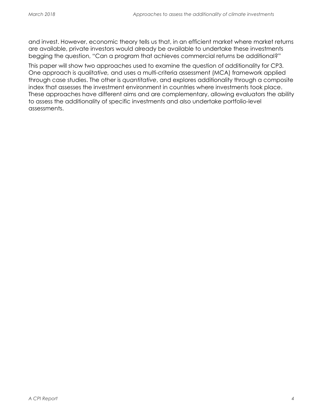and invest. However, economic theory tells us that, in an efficient market where market returns are available, private investors would already be available to undertake these investments begging the question, "Can a program that achieves commercial returns be additional?"

This paper will show two approaches used to examine the question of additionality for CP3. One approach is *qualitative,* and uses a multi-criteria assessment (MCA) framework applied through case studies. The other is *quantitative*, and explores additionality through a composite index that assesses the investment environment in countries where investments took place. These approaches have different aims and are complementary, allowing evaluators the ability to assess the additionality of specific investments and also undertake portfolio-level assessments.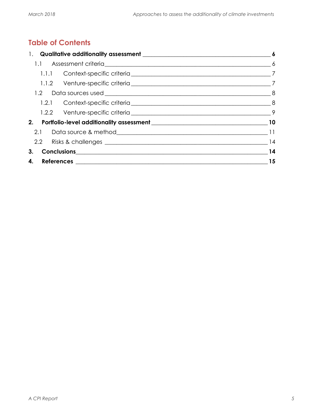# **Table of Contents**

| 3. |  | $\overline{14}$ |
|----|--|-----------------|
|    |  | 15              |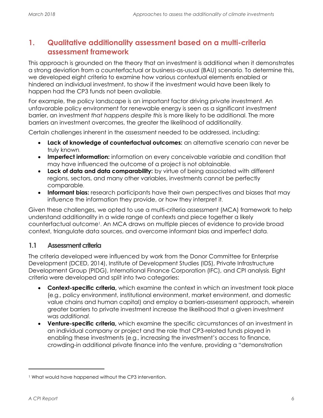# **1. Qualitative additionality assessment based on a multi-criteria assessment framework**

This approach is grounded on the theory that an investment is additional when it demonstrates a strong deviation from a counterfactual or business-as-usual (BAU) scenario. To determine this, we developed eight criteria to examine how various contextual elements enabled or hindered an individual investment, to show if the investment would have been likely to happen had the CP3 funds not been available.

For example, the policy landscape is an important factor driving private investment. An unfavorable policy environment for renewable energy is seen as a significant investment barrier, an investment *that happens despite this* is more likely to be additional. The more barriers an investment overcomes, the greater the likelihood of additionality.

Certain challenges inherent in the assessment needed to be addressed, including:

- **Lack of knowledge of counterfactual outcomes:** an alternative scenario can never be truly known.
- **Imperfect information:** information on every conceivable variable and condition that may have influenced the outcome of a project is not obtainable.
- **Lack of data and data comparability:** by virtue of being associated with different regions, sectors, and many other variables, investments cannot be perfectly comparable.
- **Informant bias:** research participants have their own perspectives and biases that may influence the information they provide, or how they interpret it.

Given these challenges, we opted to use a multi-criteria assessment (MCA) framework to help understand additionality in a wide range of contexts and piece together a likely counterfactual outcome<sup>1</sup> . An MCA draws on multiple pieces of evidence to provide broad context, triangulate data sources, and overcome informant bias and imperfect data.

#### **1.1 Assessment criteria**

The criteria developed were influenced by work from the Donor Committee for Enterprise Development (DCED, 2014), Institute of Development Studies (IDS), Private Infrastructure Development Group (PIDG), International Finance Corporation (IFC), and CPI analysis. Eight criteria were developed and split into two categories:

- **Context-specific criteria,** which examine the context in which an investment took place (e.g., policy environment, institutional environment, market environment, and domestic value chains and human capital) and employ a barriers-assessment approach, wherein greater barriers to private investment increase the likelihood that a given investment was *additional*.
- **Venture-specific criteria,** which examine the specific circumstances of an investment in an individual company or project and the role that CP3-related funds played in enabling these investments (e.g., increasing the investment's access to finance, crowding-in additional private finance into the venture, providing a "demonstration

 $\overline{a}$ 

<sup>&</sup>lt;sup>1</sup> What would have happened without the CP3 intervention.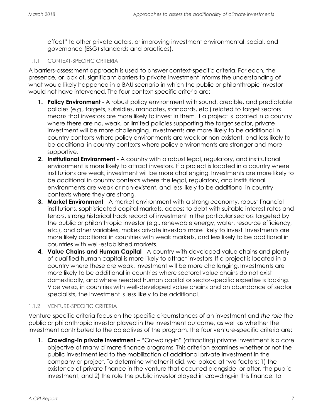effect" to other private actors, or improving investment environmental, social, and governance (ESG) standards and practices).

#### 1.1.1 CONTEXT-SPECIFIC CRITERIA

A barriers-assessment approach is used to answer context-specific criteria. For each, the presence, or lack of, significant barriers to private investment informs the understanding of what would likely happened in a BAU scenario in which the public or philanthropic investor would not have intervened. The four context-specific criteria are:

- **1. Policy Environment** A robust policy environment with sound, credible, and predictable policies (e.g., targets, subsidies, mandates, standards, etc.) related to target sectors means that investors are more likely to invest in them. If a project is located in a country where there are no, weak, or limited policies supporting the target sector, private investment will be more challenging. Investments are more likely to be additional in country contexts where policy environments are weak or non-existent, and less likely to be additional in country contexts where policy environments are stronger and more supportive.
- **2. Institutional Environment** A country with a robust legal, regulatory, and institutional environment is more likely to attract investors. If a project is located in a country where institutions are weak, investment will be more challenging. Investments are more likely to be additional in country contexts where the legal, regulatory, and institutional environments are weak or non-existent, and less likely to be additional in country contexts where they are strong.
- **3. Market Environment** A market environment with a strong economy, robust financial institutions, sophisticated capital markets, access to debt with suitable interest rates and tenors, strong historical track record of investment in the particular sectors targeted by the public or philanthropic investor (e.g., renewable energy, water, resource efficiency, etc.), and other variables, makes private investors more likely to invest. Investments are more likely additional in countries with weak markets, and less likely to be additional in countries with well-established markets.
- **4.** Value Chains and Human Capital A country with developed value chains and plenty of qualified human capital is more likely to attract investors. If a project is located in a country where these are weak, investment will be more challenging. Investments are more likely to be additional in countries where sectoral value chains do not exist domestically, and where needed human capital or sector-specific expertise is lacking. Vice versa, in countries with well-developed value chains and an abundance of sector specialists, the investment is less likely to be additional.

#### 1.1.2 VENTURE-SPECIFIC CRITERIA

Venture-specific criteria focus on the specific circumstances of an investment and *the role* the public or philanthropic investor played in the investment outcome, as well as whether the investment contributed to the objectives of the program. The four venture-specific criteria are:

**1. Crowding-in private investment** – "Crowding-in" (attracting) private investment is a core objective of many climate finance programs. This criterion examines whether or not the public investment led to the mobilization of additional private investment in the company or project. To determine whether it did, we looked at two factors: 1) the existence of private finance in the venture that occurred alongside, or after, the public investment; and 2) the role the public investor played in crowding-in this finance. To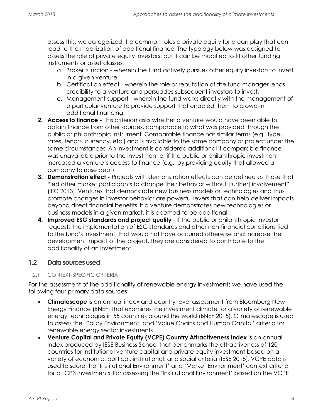assess this, we categorized the common roles a private equity fund can play that can lead to the mobilization of additional finance. The typology below was designed to assess the role of private equity investors, but it can be modified to fit other funding instruments or asset classes.

- a. Broker function wherein the fund actively pursues other equity investors to invest in a given venture.
- b. Certification effect wherein the role or reputation of the fund manager lends credibility to a venture and persuades subsequent investors to invest.
- c. Management support wherein the fund works directly with the management of a particular venture to provide support that enabled them to crowd-in additional financing.
- **2. Access to finance -** This criterion asks whether a venture would have been able to obtain finance from other sources, comparable to what was provided through the public or philanthropic instrument. Comparable finance has similar terms (e.g., type, rates, tenors, currency, etc.) and is available to the same company or project under the same circumstances. An investment is considered additional if comparable finance was unavailable prior to the investment or if the public or philanthropic investment increased a venture's access to finance (e.g., by providing equity that allowed a company to raise debt).
- **3. Demonstration effect -** Projects with demonstration effects can be defined as those that "led other market participants to change their behavior without [further] involvement" (IFC 2013). Ventures that demonstrate new business models or technologies and thus promote changes in investor behavior are powerful levers that can help deliver impacts beyond direct financial benefits. If a venture demonstrates new technologies or business models in a given market, it is deemed to be additional.
- **4. Improved ESG standards and project quality**  If the public or philanthropic investor requests the implementation of ESG standards and other non-financial conditions tied to the fund's investment, that would not have occurred otherwise and increase the development impact of the project, they are considered to contribute to the additionality of an investment.

#### 1.2 **Data sources used**

#### 1.2.1 CONTEXT-SPECIFIC CRITERIA

For the assessment of the additionality of renewable energy investments we have used the following four primary data sources:

- **Climatescope** is an annual index and country-level assessment from Bloomberg New Energy Finance (BNEF) that examines the investment climate for a variety of renewable energy technologies in 55 countries around the world (BNEF 2015). Climatescope is used to assess the 'Policy Environment' and 'Value Chains and Human Capital' criteria for renewable energy sector investments.
- **Venture Capital and Private Equity (VCPE) Country Attractiveness Index** is an annual index produced by IESE Business School that benchmarks the attractiveness of 120 countries for institutional venture capital and private equity investment based on a variety of economic, political, institutional, and social criteria (IESE 2015). VCPE data is used to score the 'Institutional Environment' and 'Market Environment' context criteria for all CP3 investments. For assessing the 'Institutional Environment' based on the VCPE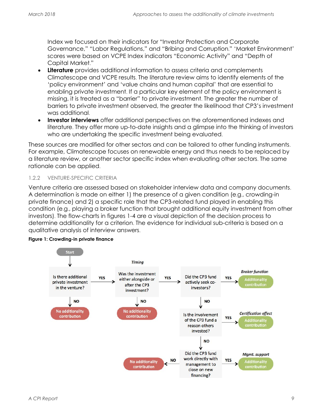Index we focused on their indicators for "Investor Protection and Corporate Governance," "Labor Regulations," and "Bribing and Corruption." 'Market Environment' scores were based on VCPE Index indicators "Economic Activity" and "Depth of Capital Market."

- **Literature** provides additional information to assess criteria and complements Climatescope and VCPE results. The literature review aims to identify elements of the 'policy environment' and 'value chains and human capital' that are essential to enabling private investment. If a particular key element of the policy environment is missing, it is treated as a "barrier" to private investment. The greater the number of barriers to private investment observed, the greater the likelihood that CP3's investment was additional.
- **Investor interviews** offer additional perspectives on the aforementioned indexes and literature. They offer more up-to-date insights and a glimpse into the thinking of investors who are undertaking the specific investment being evaluated.

These sources are modified for other sectors and can be tailored to other funding instruments. For example, Climatescope focuses on renewable energy and thus needs to be replaced by a literature review, or another sector specific index when evaluating other sectors. The same rationale can be applied.

#### 1.2.2 VENTURE-SPECIFIC CRITERIA

Venture criteria are assessed based on stakeholder interview data and company documents. A determination is made on either 1) the presence of a given condition (e.g., crowding-in private finance) and 2) a specific role that the CP3-related fund played in enabling this condition (e.g., playing a broker function that brought additional equity investment from other investors). The flow-charts in figures 1-4 are a visual depiction of the decision process to determine additionality for a criterion. The evidence for individual sub-criteria is based on a qualitative analysis of interview answers.



#### **Figure 1: Crowding-in private finance**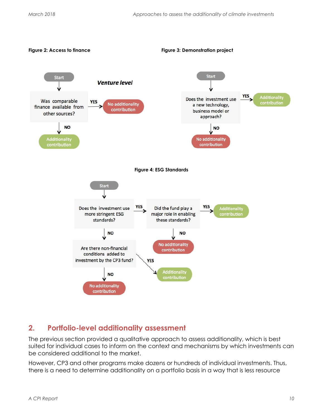

## **2. Portfolio-level additionality assessment**

The previous section provided a qualitative approach to assess additionality, which is best suited for individual cases to inform on the context and mechanisms by which investments can be considered additional to the market.

However, CP3 and other programs make dozens or hundreds of individual investments. Thus, there is a need to determine additionality on a portfolio basis in a way that is less resource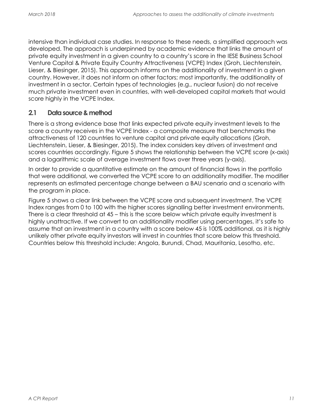intensive than individual case studies. In response to these needs, a simplified approach was developed. The approach is underpinned by academic evidence that links the amount of private equity investment in a given country to a country's score in the IESE Business School Venture Capital & Private Equity Country Attractiveness (VCPE) Index (Groh, Liechtenstein, Lieser, & Biesinger, 2015). This approach informs on the additionality of investment in a given country. However, it does not inform on other factors; most importantly, the additionality of investment in a sector. Certain types of technologies (e.g., nuclear fusion) do not receive much private investment even in countries, with well-developed capital markets that would score highly in the VCPE Index.

#### **2.1 Data source & method**

There is a strong evidence base that links expected private equity investment levels to the score a country receives in the VCPE Index - a composite measure that benchmarks the attractiveness of 120 countries to venture capital and private equity allocations (Groh, Liechtenstein, Lieser, & Biesinger, 2015). The index considers key drivers of investment and scores countries accordingly. Figure 5 shows the relationship between the VCPE score (x-axis) and a logarithmic scale of average investment flows over three years (y-axis).

In order to provide a quantitative estimate on the amount of financial flows in the portfolio that were additional, we converted the VCPE score to an additionality modifier. The modifier represents an estimated percentage change between a BAU scenario and a scenario with the program in place.

[Figure](#page-11-0) 5 shows a clear link between the VCPE score and subsequent investment. The VCPE Index ranges from 0 to 100 with the higher scores signalling better investment environments. There is a clear threshold at 45 – this is the score below which private equity investment is highly unattractive. If we convert to an additionality modifier using percentages, it's safe to assume that an investment in a country with a score below 45 is 100% additional, as it is highly unlikely other private equity investors will invest in countries that score below this threshold. Countries below this threshold include: Angola, Burundi, Chad, Mauritania, Lesotho, etc.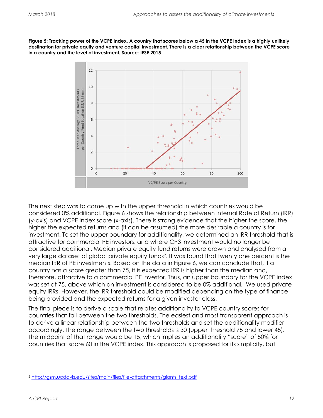<span id="page-11-0"></span>**Figure 5: Tracking power of the VCPE Index. A country that scores below a 45 in the VCPE Index is a highly unlikely destination for private equity and venture capital investment. There is a clear relationship between the VCPE score in a country and the level of investment. Source: IESE 2015**



The next step was to come up with the upper threshold in which countries would be considered 0% additional. Figure 6 shows the relationship between Internal Rate of Return (IRR) (y-axis) and VCPE Index score (x-axis). There is strong evidence that the higher the score, the higher the expected returns and (it can be assumed) the more desirable a country is for investment. To set the upper boundary for additionality, we determined an IRR threshold that is attractive for commercial PE investors, and where CP3 investment would no longer be considered additional. Median private equity fund returns were drawn and analysed from a very large dataset of global private equity funds<sup>2</sup> . It was found that twenty one percent is the median IRR of PE investments. Based on the data in Figure 6, we can conclude that, if a country has a score greater than 75, it is expected IRR is higher than the median and, therefore, attractive to a commercial PE investor. Thus, an upper boundary for the VCPE index was set at 75, above which an investment is considered to be 0% additional. We used private equity IRRs. However, the IRR threshold could be modified depending on the type of finance being provided and the expected returns for a given investor class.

The final piece is to derive a scale that relates additionality to VCPE country scores for countries that fall between the two thresholds. The easiest and most transparent approach is to derive a linear relationship between the two thresholds and set the additionality modifier accordingly. The range between the two thresholds is 30 (upper threshold 75 and lower 45). The midpoint of that range would be 15, which implies an additionality "score" of 50% for countries that score 60 in the VCPE index. This approach is proposed for its simplicity, but

 $\overline{a}$ 

<sup>2</sup> [http://gsm.ucdavis.edu/sites/main/files/file-attachments/giants\\_text.pdf](http://gsm.ucdavis.edu/sites/main/files/file-attachments/giants_text.pdf)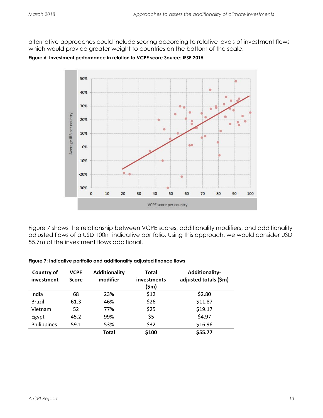alternative approaches could include scoring according to relative levels of investment flows which would provide greater weight to countries on the bottom of the scale.

**Figure 6: Investment performance in relation to VCPE score Source: IESE 2015**



Figure 7 shows the relationship between VCPE scores, additionality modifiers, and additionality adjusted flows of a USD 100m indicative portfolio. Using this approach, we would consider USD 55.7m of the investment flows additional.

#### **Figure 7: Indicative portfolio and additionality adjusted finance flows**

| <b>Country of</b><br>investment | <b>VCPE</b><br><b>Score</b> | Additionality<br>modifier | Total<br>investments<br>(\$m) | <b>Additionality-</b><br>adjusted totals (\$m) |
|---------------------------------|-----------------------------|---------------------------|-------------------------------|------------------------------------------------|
| India                           | 68                          | 23%                       | \$12                          | \$2.80                                         |
| <b>Brazil</b>                   | 61.3                        | 46%                       | \$26                          | \$11.87                                        |
| Vietnam                         | 52                          | 77%                       | \$25                          | \$19.17                                        |
| Egypt                           | 45.2                        | 99%                       | \$5                           | \$4.97                                         |
| Philippines                     | 59.1                        | 53%                       | \$32                          | \$16.96                                        |
|                                 |                             | <b>Total</b>              | \$100                         | \$55.77                                        |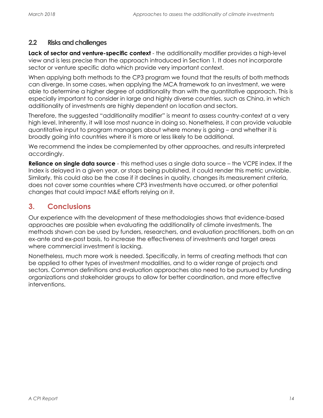#### **2.2 Risks and challenges**

**Lack of sector and venture-specific context** - the additionality modifier provides a high-level view and is less precise than the approach introduced in Section 1*.* It does not incorporate sector or venture specific data which provide very important context.

When applying both methods to the CP3 program we found that the results of both methods can diverge. In some cases, when applying the MCA framework to an investment, we were able to determine a higher degree of additionality than with the quantitative approach. This is especially important to consider in large and highly diverse countries, such as China, in which additionality of investments are highly dependent on location and sectors.

Therefore, the suggested "additionality modifier" is meant to assess country-context at a very high level. Inherently, it will lose most nuance in doing so. Nonetheless, it can provide valuable quantitative input to program managers about where money is going – and whether it is broadly going into countries where it is more or less likely to be additional.

We recommend the index be complemented by other approaches, and results interpreted accordingly.

**Reliance on single data source** - this method uses a single data source – the VCPE index. If the Index is delayed in a given year, or stops being published, it could render this metric unviable. Similarly, this could also be the case if it declines in quality, changes its measurement criteria, does not cover some countries where CP3 investments have occurred, or other potential changes that could impact M&E efforts relying on it.

# **3. Conclusions**

Our experience with the development of these methodologies shows that evidence-based approaches are possible when evaluating the additionality of climate investments. The methods shown can be used by funders, researchers, and evaluation practitioners, both on an ex-ante and ex-post basis, to increase the effectiveness of investments and target areas where commercial investment is lacking.

Nonetheless, much more work is needed. Specifically, in terms of creating methods that can be applied to other types of investment modalities, and to a wider range of projects and sectors. Common definitions and evaluation approaches also need to be pursued by funding organizations and stakeholder groups to allow for better coordination, and more effective interventions.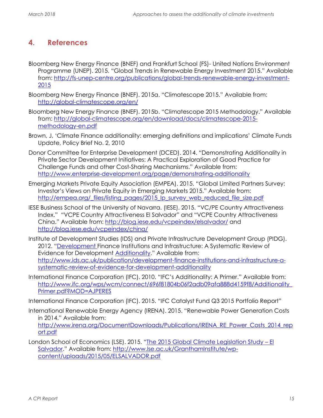# **4. References**

- Bloomberg New Energy Finance (BNEF) and Frankfurt School (FS)- United Nations Environment Programme (UNEP). 2015. "Global Trends in Renewable Energy Investment 2015." Available from: [http://fs-unep-centre.org/publications/global-trends-renewable-energy-investment-](http://fs-unep-centre.org/publications/global-trends-renewable-energy-investment-2015)[2015](http://fs-unep-centre.org/publications/global-trends-renewable-energy-investment-2015)
- Bloomberg New Energy Finance (BNEF). 2015a. "Climatescope 2015." Available from: <http://global-climatescope.org/en/>
- Bloomberg New Energy Finance (BNEF). 2015b. "Climatescope 2015 Methodology." Available from: [http://global-climatescope.org/en/download/docs/climatescope-2015](http://global-climatescope.org/en/download/docs/climatescope-2015-methodology-en.pdf) [methodology-en.pdf](http://global-climatescope.org/en/download/docs/climatescope-2015-methodology-en.pdf)
- Brown, J, 'Climate Finance additionality: emerging definitions and implications' Climate Funds Update, Policy Brief No. 2, 2010
- Donor Committee for Enterprise Development (DCED). 2014. "Demonstrating Additionality in Private Sector Development Initiatives: A Practical Exploration of Good Practice for Challenge Funds and other Cost-Sharing Mechanisms." Available from: <http://www.enterprise-development.org/page/demonstrating-additionality>
- Emerging Markets Private Equity Association (EMPEA). 2015. "Global Limited Partners Survey: Investor's Views on Private Equity in Emerging Markets 2015." Available from: [http://empea.org/\\_files/listing\\_pages/2015\\_lp\\_survey\\_web\\_reduced\\_file\\_size.pdf](http://empea.org/_files/listing_pages/2015_lp_survey_web_reduced_file_size.pdf)
- IESE Business School of the University of Navarra. (IESE). 2015. "VC/PE Country Attractiveness Index." "VCPE Country Attractiveness El Salvador" and "VCPE Country Attractiveness China." Available from:<http://blog.iese.edu/vcpeindex/elsalvador/> and <http://blog.iese.edu/vcpeindex/china/>
- Institute of Development Studies (IDS) and Private Infrastructure Development Group (PIDG). 2012. "[Development F](http://www.ids.ac.uk/publication/development-finance-institutions-and-infrastructure-a-systematic-review-of-evidence-for-development-additionality)inance Institutions and Infrastructure: A Systematic Review of Evidence for Development **Additionality**." Available from: [http://www.ids.ac.uk/publication/development-finance-institutions-and-infrastructure-a](http://www.ids.ac.uk/publication/development-finance-institutions-and-infrastructure-a-systematic-review-of-evidence-for-development-additionality)[systematic-review-of-evidence-for-development-additionality](http://www.ids.ac.uk/publication/development-finance-institutions-and-infrastructure-a-systematic-review-of-evidence-for-development-additionality)
- International Finance Corporation (IFC). 2010. "IFC's Additionality: A Primer." Available from: [http://www.ifc.org/wps/wcm/connect/696f81804b06f2adb09afa888d4159f8/Additionality\\_](http://www.ifc.org/wps/wcm/connect/696f81804b06f2adb09afa888d4159f8/Additionality_Primer.pdf?MOD=AJPERES) [Primer.pdf?MOD=AJPERES](http://www.ifc.org/wps/wcm/connect/696f81804b06f2adb09afa888d4159f8/Additionality_Primer.pdf?MOD=AJPERES)
- International Finance Corporation (IFC). 2015. "IFC Catalyst Fund Q3 2015 Portfolio Report"
- International Renewable Energy Agency (IRENA). 2015. "Renewable Power Generation Costs in 2014." Available from:

[http://www.irena.org/DocumentDownloads/Publications/IRENA\\_RE\\_Power\\_Costs\\_2014\\_rep](http://www.irena.org/DocumentDownloads/Publications/IRENA_RE_Power_Costs_2014_report.pdf) [ort.pdf](http://www.irena.org/DocumentDownloads/Publications/IRENA_RE_Power_Costs_2014_report.pdf)

London School of Economics (LSE). 2015. "[The 2015 Global Climate Legislation Study](http://www.lse.ac.uk/GranthamInstitute/wp-content/uploads/2015/05/ELSALVADOR.pdf) – El [Salvador](http://www.lse.ac.uk/GranthamInstitute/wp-content/uploads/2015/05/ELSALVADOR.pdf)." Available from: [http://www.lse.ac.uk/GranthamInstitute/wp](http://www.lse.ac.uk/GranthamInstitute/wp-content/uploads/2015/05/ELSALVADOR.pdf)[content/uploads/2015/05/ELSALVADOR.pdf](http://www.lse.ac.uk/GranthamInstitute/wp-content/uploads/2015/05/ELSALVADOR.pdf)